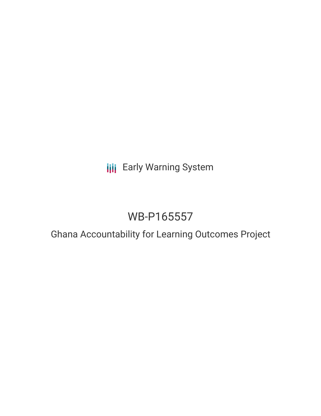**III** Early Warning System

# WB-P165557

## Ghana Accountability for Learning Outcomes Project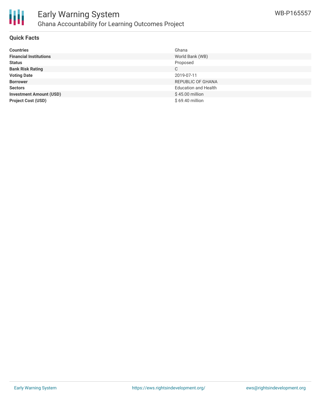

### Early Warning System Ghana Accountability for Learning Outcomes Project

#### **Quick Facts**

| <b>Countries</b>               | Ghana                       |
|--------------------------------|-----------------------------|
| <b>Financial Institutions</b>  | World Bank (WB)             |
| <b>Status</b>                  | Proposed                    |
| <b>Bank Risk Rating</b>        | C                           |
| <b>Voting Date</b>             | 2019-07-11                  |
| <b>Borrower</b>                | REPUBLIC OF GHANA           |
| <b>Sectors</b>                 | <b>Education and Health</b> |
| <b>Investment Amount (USD)</b> | $$45.00$ million            |
| <b>Project Cost (USD)</b>      | \$69.40 million             |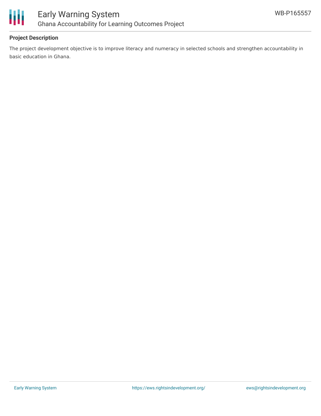



### **Project Description**

The project development objective is to improve literacy and numeracy in selected schools and strengthen accountability in basic education in Ghana.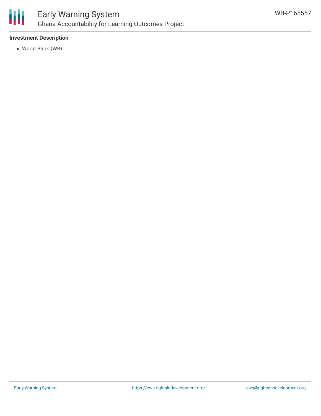

### Early Warning System Ghana Accountability for Learning Outcomes Project

### **Investment Description**

World Bank (WB)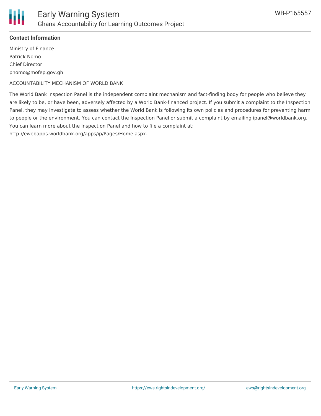

### **Contact Information**

Ministry of Finance Patrick Nomo Chief Director pnomo@mofep.gov.gh

ACCOUNTABILITY MECHANISM OF WORLD BANK

The World Bank Inspection Panel is the independent complaint mechanism and fact-finding body for people who believe they are likely to be, or have been, adversely affected by a World Bank-financed project. If you submit a complaint to the Inspection Panel, they may investigate to assess whether the World Bank is following its own policies and procedures for preventing harm to people or the environment. You can contact the Inspection Panel or submit a complaint by emailing ipanel@worldbank.org. You can learn more about the Inspection Panel and how to file a complaint at: http://ewebapps.worldbank.org/apps/ip/Pages/Home.aspx.